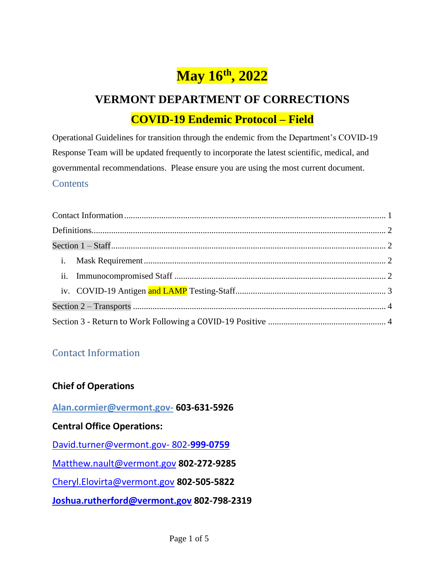# **May 16 th, 2022**

# **VERMONT DEPARTMENT OF CORRECTIONS COVID-19 Endemic Protocol – Field**

Operational Guidelines for transition through the endemic from the Department's COVID-19 Response Team will be updated frequently to incorporate the latest scientific, medical, and governmental recommendations. Please ensure you are using the most current document. **Contents** 

## <span id="page-0-0"></span>Contact Information

### **Chief of Operations**

**Alan.cormier@vermont.gov- 603-631-5926**

### **Central Office Operations:**

[David.turner@vermont.gov-](mailto:David.turner@vermont.gov-%20802-) 802-**999-0759**

[Matthew.nault@vermont.gov](mailto:Matthew.nault@vermont.gov) **802-272-9285**

[Cheryl.Elovirta@vermont.gov](mailto:Cheryl.Elovirta@vermont.gov) **802-505-5822**

**[Joshua.rutherford@vermont.gov](mailto:Joshua.rutherford@vermont.gov) 802-798-2319**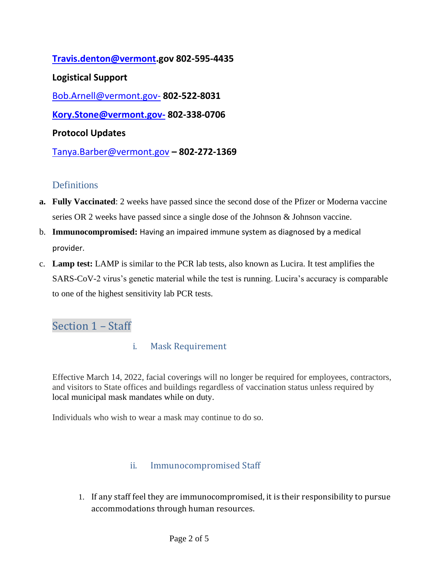### **[Travis.denton@vermont.](mailto:Travis.denton@vermont)gov 802-595-4435**

### **Logistical Support**

[Bob.Arnell@vermont.gov-](mailto:Bob.Arnell@vermont.gov-) **802-522-8031**

**Kory.Stone@vermont.gov- 802-338-0706**

### **Protocol Updates**

[Tanya.Barber@vermont.gov](mailto:Tanya.Barber@vermont.gov) **– 802-272-1369**

### <span id="page-1-0"></span>**Definitions**

- **a. Fully Vaccinated**: 2 weeks have passed since the second dose of the Pfizer or Moderna vaccine series OR 2 weeks have passed since a single dose of the Johnson & Johnson vaccine.
- b. **Immunocompromised:** Having an impaired immune system as diagnosed by a medical provider.
- c. **Lamp test:** LAMP is similar to the PCR lab tests, also known as Lucira. It test amplifies the SARS-CoV-2 virus's genetic material while the test is running. Lucira's accuracy is comparable to one of the highest sensitivity lab PCR tests.

# <span id="page-1-2"></span><span id="page-1-1"></span>Section 1 – Staff

### i. Mask Requirement

Effective March 14, 2022, facial coverings will no longer be required for employees, contractors, and visitors to State offices and buildings regardless of vaccination status unless required by local municipal mask mandates while on duty.

Individuals who wish to wear a mask may continue to do so.

### ii. Immunocompromised Staff

<span id="page-1-3"></span>1. If any staff feel they are immunocompromised, it is their responsibility to pursue accommodations through human resources.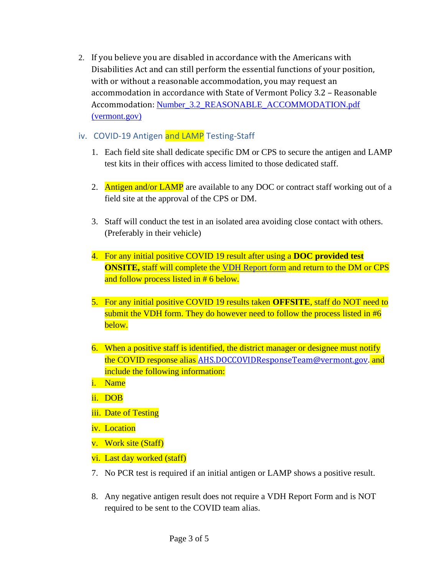2. If you believe you are disabled in accordance with the Americans with Disabilities Act and can still perform the essential functions of your position, with or without a reasonable accommodation, you may request an accommodation in accordance with State of Vermont Policy 3.2 – Reasonable Accommodation: Number 3.2 REASONABLE\_ACCOMMODATION.pdf [\(vermont.gov\)](https://humanresources.vermont.gov/sites/humanresources/files/documents/Labor_Relations_Policy_EEO/Policy_Procedure_Manual/Number_3.2_REASONABLE_ACCOMMODATION.pdf)

#### <span id="page-2-0"></span>iv. COVID-19 Antigen and LAMP Testing-Staff

- 1. Each field site shall dedicate specific DM or CPS to secure the antigen and LAMP test kits in their offices with access limited to those dedicated staff.
- 2. Antigen and/or LAMP are available to any DOC or contract staff working out of a field site at the approval of the CPS or DM.
- 3. Staff will conduct the test in an isolated area avoiding close contact with others. (Preferably in their vehicle)
- 4. For any initial positive COVID 19 result after using a **DOC provided test ONSITE**, staff will complete the [VDH Report form](http://doc.vermont.gov/sites/correct/files/documents/DOC-%20Staff%20Antigen%20Test%20-%20Report%20Form.pdf) and return to the DM or CPS and follow process listed in # 6 below.
- 5. For any initial positive COVID 19 results taken **OFFSITE**, staff do NOT need to submit the VDH form. They do however need to follow the process listed in #6 below.
- 6. When a positive staff is identified, the district manager or designee must notify the COVID response alias [AHS.DOCCOVIDResponseTeam@vermont.gov.](mailto:AHS.DOCCOVIDResponseTeam@vermont.gov) and include the following information:
- i. Name
- ii. DOB
- iii. Date of Testing
- iv. Location
- v. Work site (Staff)
- vi. Last day worked (staff)
- 7. No PCR test is required if an initial antigen or LAMP shows a positive result.
- 8. Any negative antigen result does not require a VDH Report Form and is NOT required to be sent to the COVID team alias.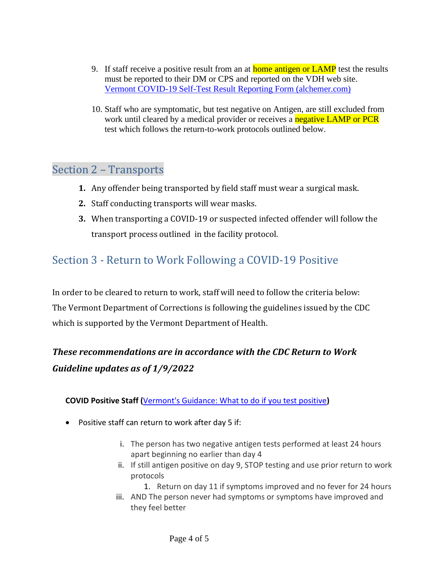- 9. If staff receive a positive result from an at **home antigen or LAMP** test the results must be reported to their DM or CPS and reported on the VDH web site. [Vermont COVID-19 Self-Test Result Reporting Form \(alchemer.com\)](https://survey.alchemer.com/s3/6507748/Vermont-COVID-19-Self-Test-Result-Reporting-Form)
- 10. Staff who are symptomatic, but test negative on Antigen, are still excluded from work until cleared by a medical provider or receives a **negative LAMP** or PCR test which follows the return-to-work protocols outlined below.

## <span id="page-3-0"></span>Section 2 – Transports

- **1.** Any offender being transported by field staff must wear a surgical mask.
- **2.** Staff conducting transports will wear masks.
- **3.** When transporting a COVID-19 or suspected infected offender will follow the transport process outlined in the facility protocol.

# <span id="page-3-1"></span>Section 3 - Return to Work Following a COVID-19 Positive

In order to be cleared to return to work, staff will need to follow the criteria below: The Vermont Department of Corrections is following the guidelines issued by the CDC which is supported by the Vermont Department of Health.

# *These recommendations are in accordance with the CDC Return to Work Guideline updates as of 1/9/2022*

**COVID Positive Staff (**[Vermont's Guidance: What to do if you test positive](https://www.healthvermont.gov/covid-19/symptoms-sickness/what-do-if-you-test-positive-covid-19)**)**

- Positive staff can return to work after day 5 if:
	- i. The person has two negative antigen tests performed at least 24 hours apart beginning no earlier than day 4
	- ii. If still antigen positive on day 9, STOP testing and use prior return to work protocols

1. Return on day 11 if symptoms improved and no fever for 24 hours

iii. AND The person never had symptoms or symptoms have improved and they feel better